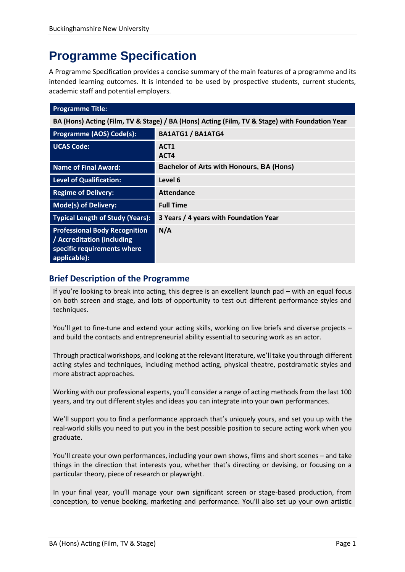# **Programme Specification**

A Programme Specification provides a concise summary of the main features of a programme and its intended learning outcomes. It is intended to be used by prospective students, current students, academic staff and potential employers.

| <b>Programme Title:</b>                                                                                           |                                                 |  |
|-------------------------------------------------------------------------------------------------------------------|-------------------------------------------------|--|
| BA (Hons) Acting (Film, TV & Stage) / BA (Hons) Acting (Film, TV & Stage) with Foundation Year                    |                                                 |  |
| Programme (AOS) Code(s):                                                                                          | <b>BA1ATG1 / BA1ATG4</b>                        |  |
| <b>UCAS Code:</b>                                                                                                 | ACT <sub>1</sub><br>ACT4                        |  |
| <b>Name of Final Award:</b>                                                                                       | <b>Bachelor of Arts with Honours, BA (Hons)</b> |  |
| <b>Level of Qualification:</b>                                                                                    | Level 6                                         |  |
| <b>Regime of Delivery:</b>                                                                                        | <b>Attendance</b>                               |  |
| <b>Mode(s) of Delivery:</b>                                                                                       | <b>Full Time</b>                                |  |
| <b>Typical Length of Study (Years):</b>                                                                           | 3 Years / 4 years with Foundation Year          |  |
| <b>Professional Body Recognition</b><br>/ Accreditation (including<br>specific requirements where<br>applicable): | N/A                                             |  |

# **Brief Description of the Programme**

If you're looking to break into acting, this degree is an excellent launch pad – with an equal focus on both screen and stage, and lots of opportunity to test out different performance styles and techniques.

You'll get to fine-tune and extend your acting skills, working on live briefs and diverse projects – and build the contacts and entrepreneurial ability essential to securing work as an actor.

Through practical workshops, and looking at the relevant literature, we'll take you through different acting styles and techniques, including method acting, physical theatre, postdramatic styles and more abstract approaches.

Working with our professional experts, you'll consider a range of acting methods from the last 100 years, and try out different styles and ideas you can integrate into your own performances.

We'll support you to find a performance approach that's uniquely yours, and set you up with the real-world skills you need to put you in the best possible position to secure acting work when you graduate.

You'll create your own performances, including your own shows, films and short scenes – and take things in the direction that interests you, whether that's directing or devising, or focusing on a particular theory, piece of research or playwright.

In your final year, you'll manage your own significant screen or stage-based production, from conception, to venue booking, marketing and performance. You'll also set up your own artistic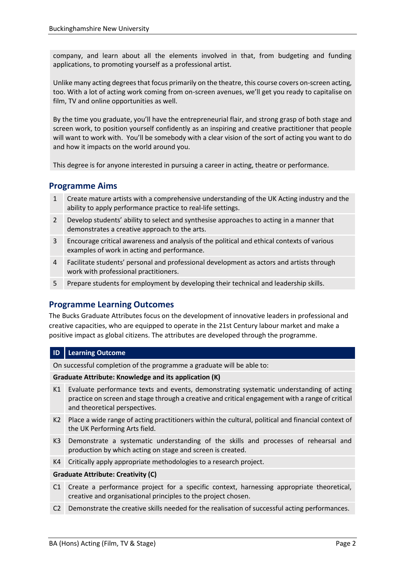company, and learn about all the elements involved in that, from budgeting and funding applications, to promoting yourself as a professional artist.

Unlike many acting degrees that focus primarily on the theatre, this course covers on-screen acting, too. With a lot of acting work coming from on-screen avenues, we'll get you ready to capitalise on film, TV and online opportunities as well.

By the time you graduate, you'll have the entrepreneurial flair, and strong grasp of both stage and screen work, to position yourself confidently as an inspiring and creative practitioner that people will want to work with. You'll be somebody with a clear vision of the sort of acting you want to do and how it impacts on the world around you.

This degree is for anyone interested in pursuing a career in acting, theatre or performance.

# **Programme Aims**

- 1 Create mature artists with a comprehensive understanding of the UK Acting industry and the ability to apply performance practice to real-life settings.
- 2 Develop students' ability to select and synthesise approaches to acting in a manner that demonstrates a creative approach to the arts.
- 3 Encourage critical awareness and analysis of the political and ethical contexts of various examples of work in acting and performance.
- 4 Facilitate students' personal and professional development as actors and artists through work with professional practitioners.
- 5 Prepare students for employment by developing their technical and leadership skills.

# **Programme Learning Outcomes**

The Bucks Graduate Attributes focus on the development of innovative leaders in professional and creative capacities, who are equipped to operate in the 21st Century labour market and make a positive impact as global citizens. The attributes are developed through the programme.

## **ID Learning Outcome**

On successful completion of the programme a graduate will be able to:

#### **Graduate Attribute: Knowledge and its application (K)**

- K1 Evaluate performance texts and events, demonstrating systematic understanding of acting practice on screen and stage through a creative and critical engagement with a range of critical and theoretical perspectives.
- K2 Place a wide range of acting practitioners within the cultural, political and financial context of the UK Performing Arts field.
- K3 Demonstrate a systematic understanding of the skills and processes of rehearsal and production by which acting on stage and screen is created.
- K4 Critically apply appropriate methodologies to a research project.

## **Graduate Attribute: Creativity (C)**

- C1 Create a performance project for a specific context, harnessing appropriate theoretical, creative and organisational principles to the project chosen.
- C2 Demonstrate the creative skills needed for the realisation of successful acting performances.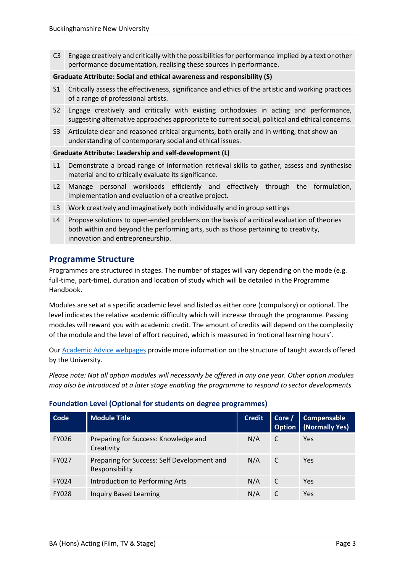C3 Engage creatively and critically with the possibilities for performance implied by a text or other performance documentation, realising these sources in performance.

#### **Graduate Attribute: Social and ethical awareness and responsibility (S)**

- S1 Critically assess the effectiveness, significance and ethics of the artistic and working practices of a range of professional artists.
- S2 Engage creatively and critically with existing orthodoxies in acting and performance, suggesting alternative approaches appropriate to current social, political and ethical concerns.
- S3 Articulate clear and reasoned critical arguments, both orally and in writing, that show an understanding of contemporary social and ethical issues.

#### **Graduate Attribute: Leadership and self-development (L)**

- L1 Demonstrate a broad range of information retrieval skills to gather, assess and synthesise material and to critically evaluate its significance.
- L2 Manage personal workloads efficiently and effectively through the formulation, implementation and evaluation of a creative project.
- L3 Work creatively and imaginatively both individually and in group settings
- L4 Propose solutions to open-ended problems on the basis of a critical evaluation of theories both within and beyond the performing arts, such as those pertaining to creativity, innovation and entrepreneurship.

## **Programme Structure**

Programmes are structured in stages. The number of stages will vary depending on the mode (e.g. full-time, part-time), duration and location of study which will be detailed in the Programme Handbook.

Modules are set at a specific academic level and listed as either core (compulsory) or optional. The level indicates the relative academic difficulty which will increase through the programme. Passing modules will reward you with academic credit. The amount of credits will depend on the complexity of the module and the level of effort required, which is measured in 'notional learning hours'.

Our [Academic Advice webpages](https://bucks.ac.uk/students/academicadvice/course-structure-and-regulations/how-your-course-is-structured) provide more information on the structure of taught awards offered by the University.

*Please note: Not all option modules will necessarily be offered in any one year. Other option modules may also be introduced at a later stage enabling the programme to respond to sector developments.*

| Code         | <b>Module Title</b>                                           | <b>Credit</b> | Corc<br><b>Option</b> | Compensable<br>(Normally Yes) |
|--------------|---------------------------------------------------------------|---------------|-----------------------|-------------------------------|
| <b>FY026</b> | Preparing for Success: Knowledge and<br>Creativity            | N/A           | C                     | Yes                           |
| <b>FY027</b> | Preparing for Success: Self Development and<br>Responsibility | N/A           | C                     | Yes                           |
| <b>FY024</b> | Introduction to Performing Arts                               | N/A           | C                     | Yes                           |
| <b>FY028</b> | <b>Inquiry Based Learning</b>                                 | N/A           |                       | Yes                           |

## **Foundation Level (Optional for students on degree programmes)**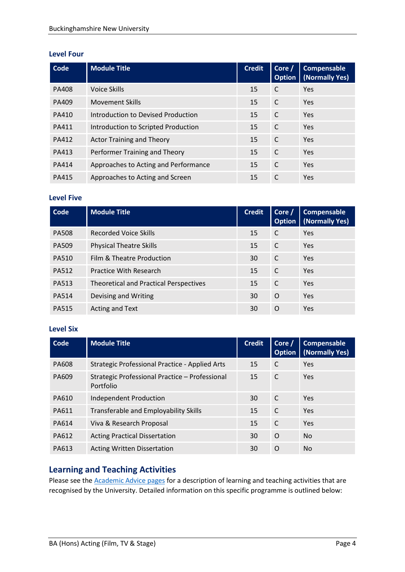#### **Level Four**

| <b>Code</b>  | <b>Module Title</b>                  | <b>Credit</b> | Core /<br><b>Option</b> | <b>Compensable</b><br>(Normally Yes) |
|--------------|--------------------------------------|---------------|-------------------------|--------------------------------------|
| <b>PA408</b> | Voice Skills                         | 15            | C                       | <b>Yes</b>                           |
| PA409        | <b>Movement Skills</b>               | 15            | C                       | Yes                                  |
| PA410        | Introduction to Devised Production   | 15            | C                       | <b>Yes</b>                           |
| PA411        | Introduction to Scripted Production  | 15            | C                       | <b>Yes</b>                           |
| <b>PA412</b> | <b>Actor Training and Theory</b>     | 15            | C                       | Yes                                  |
| <b>PA413</b> | Performer Training and Theory        | 15            | C                       | <b>Yes</b>                           |
| <b>PA414</b> | Approaches to Acting and Performance | 15            | C                       | <b>Yes</b>                           |
| <b>PA415</b> | Approaches to Acting and Screen      | 15            | C                       | Yes                                  |

## **Level Five**

| Code         | <b>Module Title</b>                           | <b>Credit</b> | Core /<br><b>Option</b> | Compensable<br>(Normally Yes) |
|--------------|-----------------------------------------------|---------------|-------------------------|-------------------------------|
| <b>PA508</b> | <b>Recorded Voice Skills</b>                  | 15            | C                       | Yes                           |
| <b>PA509</b> | <b>Physical Theatre Skills</b>                | 15            | C                       | Yes                           |
| <b>PA510</b> | Film & Theatre Production                     | 30            | C                       | Yes                           |
| <b>PA512</b> | <b>Practice With Research</b>                 | 15            | C                       | Yes                           |
| <b>PA513</b> | <b>Theoretical and Practical Perspectives</b> | 15            | C                       | Yes                           |
| <b>PA514</b> | Devising and Writing                          | 30            | $\Omega$                | Yes                           |
| <b>PA515</b> | Acting and Text                               | 30            | O                       | Yes                           |

#### **Level Six**

| Code  | <b>Module Title</b>                                         | <b>Credit</b> | Core /<br><b>Option</b> | <b>Compensable</b><br>(Normally Yes) |
|-------|-------------------------------------------------------------|---------------|-------------------------|--------------------------------------|
| PA608 | Strategic Professional Practice - Applied Arts              | 15            | C                       | <b>Yes</b>                           |
| PA609 | Strategic Professional Practice - Professional<br>Portfolio | 15            | C                       | <b>Yes</b>                           |
| PA610 | Independent Production                                      | 30            | $\mathsf{C}$            | <b>Yes</b>                           |
| PA611 | Transferable and Employability Skills                       | 15            | C                       | <b>Yes</b>                           |
| PA614 | Viva & Research Proposal                                    | 15            | C                       | Yes                                  |
| PA612 | <b>Acting Practical Dissertation</b>                        | 30            | O                       | <b>No</b>                            |
| PA613 | <b>Acting Written Dissertation</b>                          | 30            | O                       | <b>No</b>                            |

# **Learning and Teaching Activities**

Please see the **Academic Advice pages** for a description of learning and teaching activities that are recognised by the University. Detailed information on this specific programme is outlined below: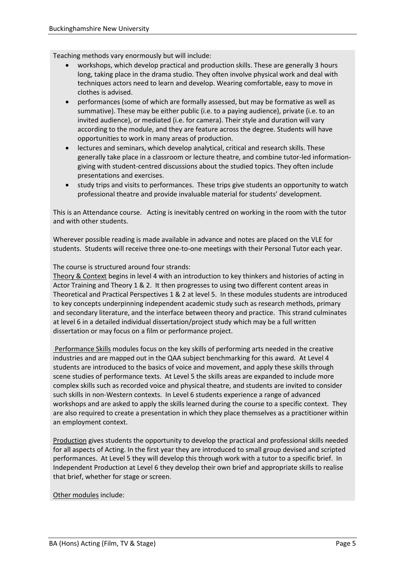Teaching methods vary enormously but will include:

- workshops, which develop practical and production skills. These are generally 3 hours long, taking place in the drama studio. They often involve physical work and deal with techniques actors need to learn and develop. Wearing comfortable, easy to move in clothes is advised.
- performances (some of which are formally assessed, but may be formative as well as summative). These may be either public (i.e. to a paying audience), private (i.e. to an invited audience), or mediated (i.e. for camera). Their style and duration will vary according to the module, and they are feature across the degree. Students will have opportunities to work in many areas of production.
- lectures and seminars, which develop analytical, critical and research skills. These generally take place in a classroom or lecture theatre, and combine tutor-led informationgiving with student-centred discussions about the studied topics. They often include presentations and exercises.
- study trips and visits to performances. These trips give students an opportunity to watch professional theatre and provide invaluable material for students' development.

This is an Attendance course. Acting is inevitably centred on working in the room with the tutor and with other students.

Wherever possible reading is made available in advance and notes are placed on the VLE for students. Students will receive three one-to-one meetings with their Personal Tutor each year.

The course is structured around four strands:

Theory & Context begins in level 4 with an introduction to key thinkers and histories of acting in Actor Training and Theory 1 & 2. It then progresses to using two different content areas in Theoretical and Practical Perspectives 1 & 2 at level 5. In these modules students are introduced to key concepts underpinning independent academic study such as research methods, primary and secondary literature, and the interface between theory and practice. This strand culminates at level 6 in a detailed individual dissertation/project study which may be a full written dissertation or may focus on a film or performance project.

Performance Skills modules focus on the key skills of performing arts needed in the creative industries and are mapped out in the QAA subject benchmarking for this award*.* At Level 4 students are introduced to the basics of voice and movement, and apply these skills through scene studies of performance texts. At Level 5 the skills areas are expanded to include more complex skills such as recorded voice and physical theatre, and students are invited to consider such skills in non-Western contexts. In Level 6 students experience a range of advanced workshops and are asked to apply the skills learned during the course to a specific context. They are also required to create a presentation in which they place themselves as a practitioner within an employment context.

Production gives students the opportunity to develop the practical and professional skills needed for all aspects of Acting. In the first year they are introduced to small group devised and scripted performances. At Level 5 they will develop this through work with a tutor to a specific brief. In Independent Production at Level 6 they develop their own brief and appropriate skills to realise that brief, whether for stage or screen.

#### Other modules include: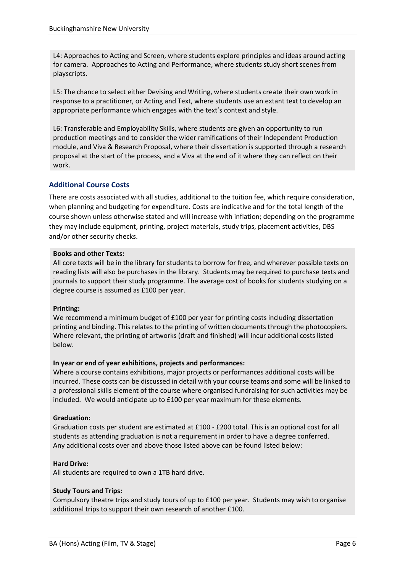L4: Approaches to Acting and Screen, where students explore principles and ideas around acting for camera. Approaches to Acting and Performance, where students study short scenes from playscripts.

L5: The chance to select either Devising and Writing, where students create their own work in response to a practitioner, or Acting and Text, where students use an extant text to develop an appropriate performance which engages with the text's context and style.

L6: Transferable and Employability Skills, where students are given an opportunity to run production meetings and to consider the wider ramifications of their Independent Production module, and Viva & Research Proposal, where their dissertation is supported through a research proposal at the start of the process, and a Viva at the end of it where they can reflect on their work.

## **Additional Course Costs**

There are costs associated with all studies, additional to the tuition fee, which require consideration, when planning and budgeting for expenditure. Costs are indicative and for the total length of the course shown unless otherwise stated and will increase with inflation; depending on the programme they may include equipment, printing, project materials, study trips, placement activities, DBS and/or other security checks.

#### **Books and other Texts:**

All core texts will be in the library for students to borrow for free, and wherever possible texts on reading lists will also be purchases in the library. Students may be required to purchase texts and journals to support their study programme. The average cost of books for students studying on a degree course is assumed as £100 per year.

## **Printing:**

We recommend a minimum budget of £100 per year for printing costs including dissertation printing and binding. This relates to the printing of written documents through the photocopiers. Where relevant, the printing of artworks (draft and finished) will incur additional costs listed below.

## **In year or end of year exhibitions, projects and performances:**

Where a course contains exhibitions, major projects or performances additional costs will be incurred. These costs can be discussed in detail with your course teams and some will be linked to a professional skills element of the course where organised fundraising for such activities may be included. We would anticipate up to £100 per year maximum for these elements.

## **Graduation:**

Graduation costs per student are estimated at £100 - £200 total. This is an optional cost for all students as attending graduation is not a requirement in order to have a degree conferred. Any additional costs over and above those listed above can be found listed below:

## **Hard Drive:**

All students are required to own a 1TB hard drive.

## **Study Tours and Trips:**

Compulsory theatre trips and study tours of up to £100 per year. Students may wish to organise additional trips to support their own research of another £100.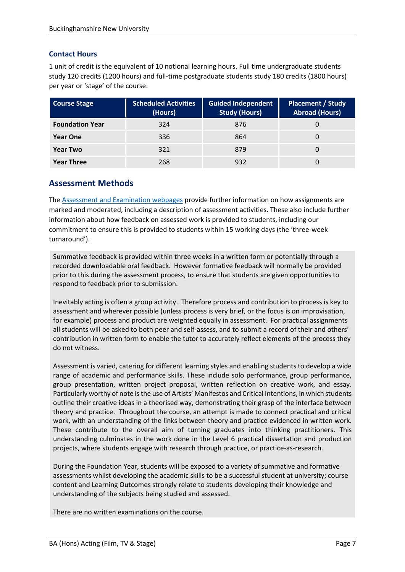## **Contact Hours**

1 unit of credit is the equivalent of 10 notional learning hours. Full time undergraduate students study 120 credits (1200 hours) and full-time postgraduate students study 180 credits (1800 hours) per year or 'stage' of the course.

| <b>Course Stage</b>    | <b>Scheduled Activities</b><br>(Hours) | <b>Guided Independent</b><br><b>Study (Hours)</b> | <b>Placement / Study</b><br><b>Abroad (Hours)</b> |
|------------------------|----------------------------------------|---------------------------------------------------|---------------------------------------------------|
| <b>Foundation Year</b> | 324                                    | 876                                               |                                                   |
| <b>Year One</b>        | 336                                    | 864                                               |                                                   |
| <b>Year Two</b>        | 321                                    | 879                                               |                                                   |
| <b>Year Three</b>      | 268                                    | 932                                               |                                                   |

# **Assessment Methods**

The [Assessment and Examination webpages](https://bucks.ac.uk/students/academicadvice/assessment-and-examination) provide further information on how assignments are marked and moderated, including a description of assessment activities. These also include further information about how feedback on assessed work is provided to students, including our commitment to ensure this is provided to students within 15 working days (the 'three-week turnaround').

Summative feedback is provided within three weeks in a written form or potentially through a recorded downloadable oral feedback. However formative feedback will normally be provided prior to this during the assessment process, to ensure that students are given opportunities to respond to feedback prior to submission.

Inevitably acting is often a group activity. Therefore process and contribution to process is key to assessment and wherever possible (unless process is very brief, or the focus is on improvisation, for example) process and product are weighted equally in assessment. For practical assignments all students will be asked to both peer and self-assess, and to submit a record of their and others' contribution in written form to enable the tutor to accurately reflect elements of the process they do not witness.

Assessment is varied, catering for different learning styles and enabling students to develop a wide range of academic and performance skills. These include solo performance, group performance, group presentation, written project proposal, written reflection on creative work, and essay. Particularly worthy of note is the use of Artists' Manifestos and Critical Intentions, in which students outline their creative ideas in a theorised way, demonstrating their grasp of the interface between theory and practice. Throughout the course, an attempt is made to connect practical and critical work, with an understanding of the links between theory and practice evidenced in written work. These contribute to the overall aim of turning graduates into thinking practitioners. This understanding culminates in the work done in the Level 6 practical dissertation and production projects, where students engage with research through practice, or practice-as-research.

During the Foundation Year, students will be exposed to a variety of summative and formative assessments whilst developing the academic skills to be a successful student at university; course content and Learning Outcomes strongly relate to students developing their knowledge and understanding of the subjects being studied and assessed.

There are no written examinations on the course.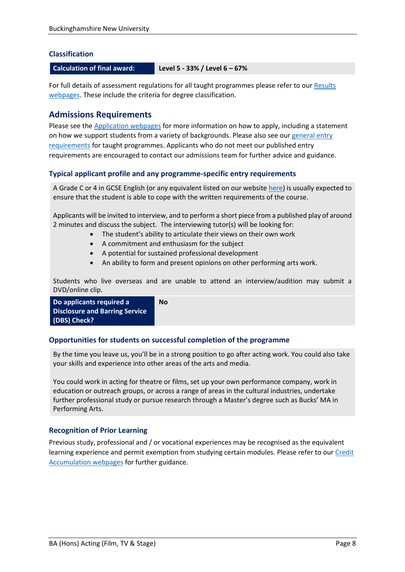## **Classification**

#### **Calculation of final award: Level 5 - 33% / Level 6 – 67%**

For full details of assessment regulations for all taught programmes please refer to our Results [webpages.](https://bucks.ac.uk/students/academicadvice/results) These include the criteria for degree classification.

## **Admissions Requirements**

Please see the [Application webpages](https://bucks.ac.uk/applying-to-bucks) for more information on how to apply, including a statement on how we support students from a variety of backgrounds. Please also see our [general entry](https://bucks.ac.uk/applying-to-bucks/general-entry-requirements)  [requirements](https://bucks.ac.uk/applying-to-bucks/general-entry-requirements) for taught programmes. Applicants who do not meet our published entry requirements are encouraged to contact our admissions team for further advice and guidance.

## **Typical applicant profile and any programme-specific entry requirements**

A Grade C or 4 in GCSE English (or any equivalent listed on our website [here\)](https://bucks.ac.uk/applying-to-bucks/general-entry-requirements) is usually expected to ensure that the student is able to cope with the written requirements of the course.

Applicants will be invited to interview, and to perform a short piece from a published play of around 2 minutes and discuss the subject. The interviewing tutor(s) will be looking for:

- The student's ability to articulate their views on their own work
- A commitment and enthusiasm for the subject
- A potential for sustained professional development
- An ability to form and present opinions on other performing arts work.

Students who live overseas and are unable to attend an interview/audition may submit a DVD/online clip.

```
Do applicants required a 
Disclosure and Barring Service 
(DBS) Check?
                                  No
```
## **Opportunities for students on successful completion of the programme**

By the time you leave us, you'll be in a strong position to go after acting work. You could also take your skills and experience into other areas of the arts and media.

You could work in acting for theatre or films, set up your own performance company, work in education or outreach groups, or across a range of areas in the cultural industries, undertake further professional study or pursue research through a Master's degree such as Bucks' MA in Performing Arts.

## **Recognition of Prior Learning**

Previous study, professional and / or vocational experiences may be recognised as the equivalent learning experience and permit exemption from studying certain modules. Please refer to ou[r Credit](https://bucks.ac.uk/students/academicadvice/managing-your-studies/credit-accumulation)  [Accumulation webpages](https://bucks.ac.uk/students/academicadvice/managing-your-studies/credit-accumulation) for further guidance.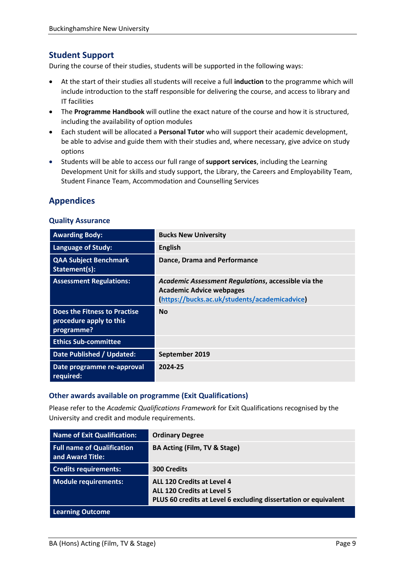# **Student Support**

During the course of their studies, students will be supported in the following ways:

- At the start of their studies all students will receive a full **induction** to the programme which will include introduction to the staff responsible for delivering the course, and access to library and IT facilities
- The **Programme Handbook** will outline the exact nature of the course and how it is structured, including the availability of option modules
- Each student will be allocated a **Personal Tutor** who will support their academic development, be able to advise and guide them with their studies and, where necessary, give advice on study options
- Students will be able to access our full range of **support services**, including the Learning Development Unit for skills and study support, the Library, the Careers and Employability Team, Student Finance Team, Accommodation and Counselling Services

# **Appendices**

#### **Quality Assurance**

| <b>Awarding Body:</b>                                                 | <b>Bucks New University</b>                                                                                                             |
|-----------------------------------------------------------------------|-----------------------------------------------------------------------------------------------------------------------------------------|
| <b>Language of Study:</b>                                             | <b>English</b>                                                                                                                          |
| <b>QAA Subject Benchmark</b><br>Statement(s):                         | <b>Dance, Drama and Performance</b>                                                                                                     |
| <b>Assessment Regulations:</b>                                        | Academic Assessment Regulations, accessible via the<br><b>Academic Advice webpages</b><br>(https://bucks.ac.uk/students/academicadvice) |
| Does the Fitness to Practise<br>procedure apply to this<br>programme? | <b>No</b>                                                                                                                               |
| <b>Ethics Sub-committee</b>                                           |                                                                                                                                         |
| Date Published / Updated:                                             | September 2019                                                                                                                          |
| Date programme re-approval<br>required:                               | 2024-25                                                                                                                                 |

## **Other awards available on programme (Exit Qualifications)**

Please refer to the *Academic Qualifications Framework* for Exit Qualifications recognised by the University and credit and module requirements.

| <b>Name of Exit Qualification:</b>                    | <b>Ordinary Degree</b>                                                                                                             |
|-------------------------------------------------------|------------------------------------------------------------------------------------------------------------------------------------|
| <b>Full name of Qualification</b><br>and Award Title: | BA Acting (Film, TV & Stage)                                                                                                       |
| <b>Credits requirements:</b>                          | <b>300 Credits</b>                                                                                                                 |
| <b>Module requirements:</b>                           | ALL 120 Credits at Level 4<br><b>ALL 120 Credits at Level 5</b><br>PLUS 60 credits at Level 6 excluding dissertation or equivalent |
| <b>Learning Outcome</b>                               |                                                                                                                                    |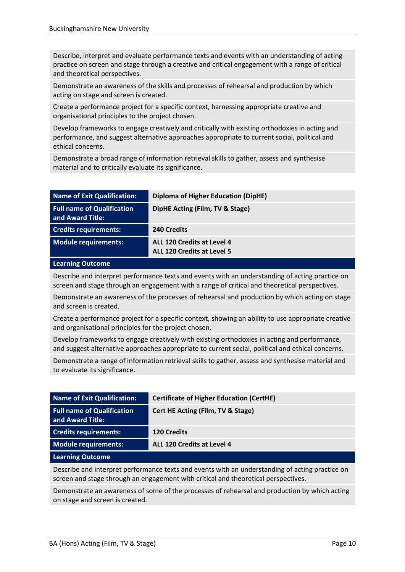Describe, interpret and evaluate performance texts and events with an understanding of acting practice on screen and stage through a creative and critical engagement with a range of critical and theoretical perspectives.

Demonstrate an awareness of the skills and processes of rehearsal and production by which acting on stage and screen is created.

Create a performance project for a specific context, harnessing appropriate creative and organisational principles to the project chosen.

Develop frameworks to engage creatively and critically with existing orthodoxies in acting and performance, and suggest alternative approaches appropriate to current social, political and ethical concerns.

Demonstrate a broad range of information retrieval skills to gather, assess and synthesise material and to critically evaluate its significance.

| Name of Exit Qualification:                           | <b>Diploma of Higher Education (DipHE)</b>                      |
|-------------------------------------------------------|-----------------------------------------------------------------|
| <b>Full name of Qualification</b><br>and Award Title: | DipHE Acting (Film, TV & Stage)                                 |
| <b>Credits requirements:</b>                          | 240 Credits                                                     |
| Module requirements:                                  | ALL 120 Credits at Level 4<br><b>ALL 120 Credits at Level 5</b> |

#### **Learning Outcome**

Describe and interpret performance texts and events with an understanding of acting practice on screen and stage through an engagement with a range of critical and theoretical perspectives.

Demonstrate an awareness of the processes of rehearsal and production by which acting on stage and screen is created.

Create a performance project for a specific context, showing an ability to use appropriate creative and organisational principles for the project chosen.

Develop frameworks to engage creatively with existing orthodoxies in acting and performance, and suggest alternative approaches appropriate to current social, political and ethical concerns.

Demonstrate a range of information retrieval skills to gather, assess and synthesise material and to evaluate its significance.

| Name of Exit Qualification:                           | <b>Certificate of Higher Education (CertHE)</b> |
|-------------------------------------------------------|-------------------------------------------------|
| <b>Full name of Qualification</b><br>and Award Title: | Cert HE Acting (Film, TV & Stage)               |
| <b>Credits requirements:</b>                          | <b>120 Credits</b>                              |
| Module requirements:                                  | ALL 120 Credits at Level 4                      |
| <b>Learning Outcome</b>                               |                                                 |

Describe and interpret performance texts and events with an understanding of acting practice on screen and stage through an engagement with critical and theoretical perspectives.

Demonstrate an awareness of some of the processes of rehearsal and production by which acting on stage and screen is created.